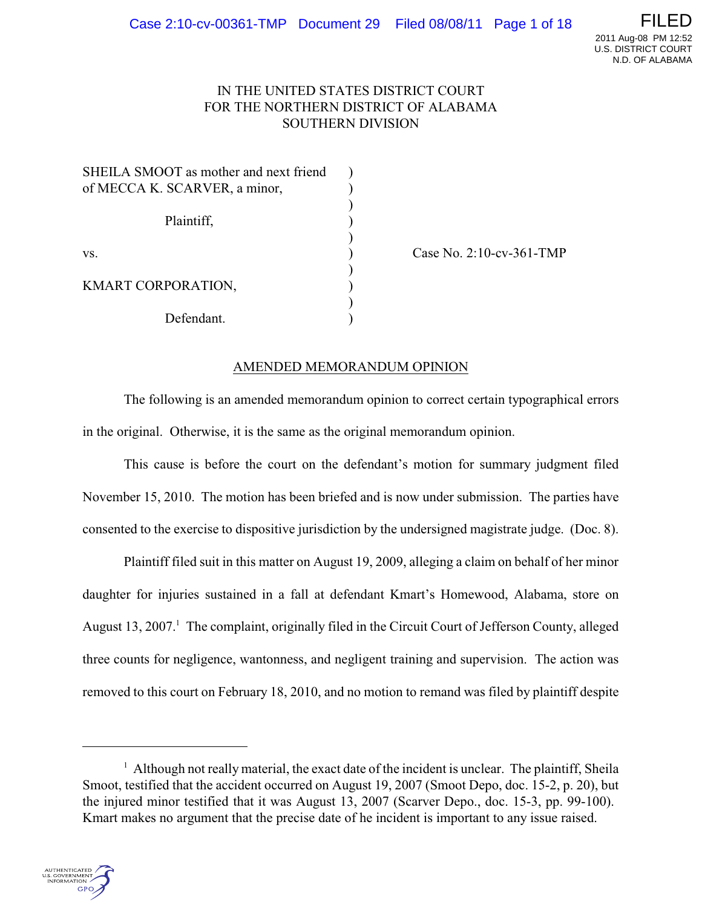# IN THE UNITED STATES DISTRICT COURT FOR THE NORTHERN DISTRICT OF ALABAMA SOUTHERN DIVISION

| SHEILA SMOOT as mother and next friend |  |
|----------------------------------------|--|
| of MECCA K. SCARVER, a minor,          |  |
|                                        |  |
| Plaintiff,                             |  |
|                                        |  |
| VS.                                    |  |
|                                        |  |
| KMART CORPORATION,                     |  |
|                                        |  |
| Defendant.                             |  |

Case No. 2:10-cv-361-TMP

# AMENDED MEMORANDUM OPINION

The following is an amended memorandum opinion to correct certain typographical errors in the original. Otherwise, it is the same as the original memorandum opinion.

This cause is before the court on the defendant's motion for summary judgment filed November 15, 2010. The motion has been briefed and is now under submission. The parties have consented to the exercise to dispositive jurisdiction by the undersigned magistrate judge. (Doc. 8).

Plaintiff filed suit in this matter on August 19, 2009, alleging a claim on behalf of her minor daughter for injuries sustained in a fall at defendant Kmart's Homewood, Alabama, store on August 13, 2007.<sup>1</sup> The complaint, originally filed in the Circuit Court of Jefferson County, alleged three counts for negligence, wantonness, and negligent training and supervision. The action was removed to this court on February 18, 2010, and no motion to remand was filed by plaintiff despite

 $<sup>1</sup>$  Although not really material, the exact date of the incident is unclear. The plaintiff, Sheila</sup> Smoot, testified that the accident occurred on August 19, 2007 (Smoot Depo, doc. 15-2, p. 20), but the injured minor testified that it was August 13, 2007 (Scarver Depo., doc. 15-3, pp. 99-100). Kmart makes no argument that the precise date of he incident is important to any issue raised.

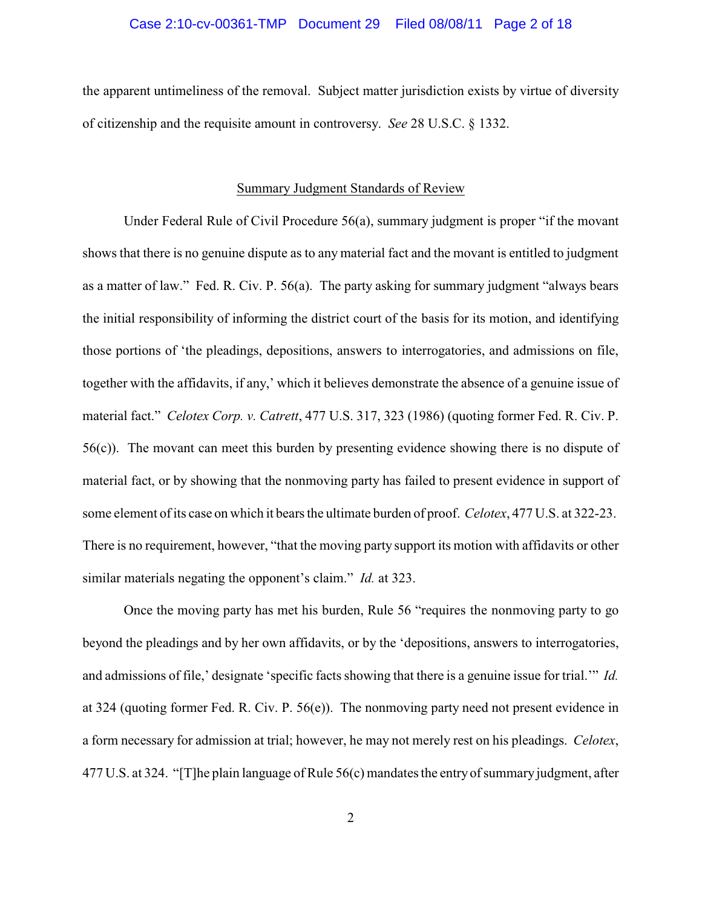## Case 2:10-cv-00361-TMP Document 29 Filed 08/08/11 Page 2 of 18

the apparent untimeliness of the removal. Subject matter jurisdiction exists by virtue of diversity of citizenship and the requisite amount in controversy. *See* 28 U.S.C. § 1332.

#### Summary Judgment Standards of Review

Under Federal Rule of Civil Procedure 56(a), summary judgment is proper "if the movant shows that there is no genuine dispute as to any material fact and the movant is entitled to judgment as a matter of law." Fed. R. Civ. P. 56(a). The party asking for summary judgment "always bears the initial responsibility of informing the district court of the basis for its motion, and identifying those portions of 'the pleadings, depositions, answers to interrogatories, and admissions on file, together with the affidavits, if any,' which it believes demonstrate the absence of a genuine issue of material fact." *Celotex Corp. v. Catrett*, 477 U.S. 317, 323 (1986) (quoting former Fed. R. Civ. P. 56(c)). The movant can meet this burden by presenting evidence showing there is no dispute of material fact, or by showing that the nonmoving party has failed to present evidence in support of some element of its case on which it bears the ultimate burden of proof. *Celotex*, 477 U.S. at 322-23. There is no requirement, however, "that the moving party support its motion with affidavits or other similar materials negating the opponent's claim." *Id.* at 323.

Once the moving party has met his burden, Rule 56 "requires the nonmoving party to go beyond the pleadings and by her own affidavits, or by the 'depositions, answers to interrogatories, and admissions of file,' designate 'specific facts showing that there is a genuine issue for trial.'" *Id.* at 324 (quoting former Fed. R. Civ. P. 56(e)). The nonmoving party need not present evidence in a form necessary for admission at trial; however, he may not merely rest on his pleadings. *Celotex*, 477 U.S. at 324. "[T]he plain language of Rule 56(c) mandates the entry of summary judgment, after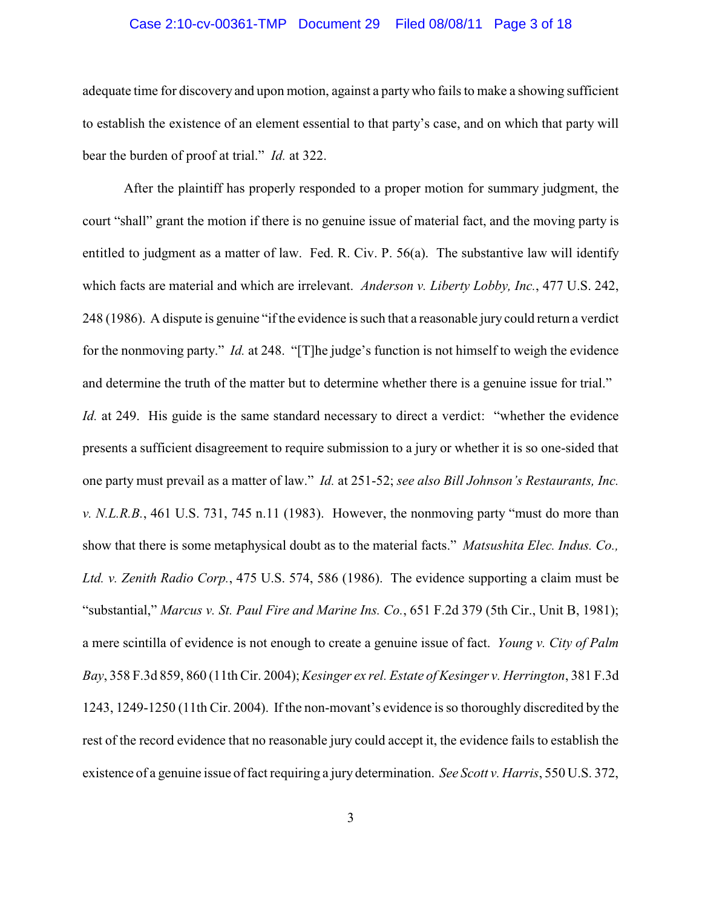# Case 2:10-cv-00361-TMP Document 29 Filed 08/08/11 Page 3 of 18

adequate time for discovery and upon motion, against a party who fails to make a showing sufficient to establish the existence of an element essential to that party's case, and on which that party will bear the burden of proof at trial." *Id.* at 322.

After the plaintiff has properly responded to a proper motion for summary judgment, the court "shall" grant the motion if there is no genuine issue of material fact, and the moving party is entitled to judgment as a matter of law. Fed. R. Civ. P. 56(a). The substantive law will identify which facts are material and which are irrelevant. *Anderson v. Liberty Lobby, Inc.*, 477 U.S. 242, 248 (1986). A dispute is genuine "if the evidence is such that a reasonable jury could return a verdict for the nonmoving party." *Id.* at 248. "[T]he judge's function is not himself to weigh the evidence and determine the truth of the matter but to determine whether there is a genuine issue for trial." *Id.* at 249. His guide is the same standard necessary to direct a verdict: "whether the evidence presents a sufficient disagreement to require submission to a jury or whether it is so one-sided that one party must prevail as a matter of law." *Id.* at 251-52; *see also Bill Johnson's Restaurants, Inc. v. N.L.R.B.*, 461 U.S. 731, 745 n.11 (1983). However, the nonmoving party "must do more than show that there is some metaphysical doubt as to the material facts." *Matsushita Elec. Indus. Co., Ltd. v. Zenith Radio Corp.*, 475 U.S. 574, 586 (1986). The evidence supporting a claim must be "substantial," *Marcus v. St. Paul Fire and Marine Ins. Co.*, 651 F.2d 379 (5th Cir., Unit B, 1981); a mere scintilla of evidence is not enough to create a genuine issue of fact. *Young v. City of Palm Bay*, 358 F.3d 859, 860 (11th Cir. 2004); *Kesinger ex rel. Estate of Kesinger v. Herrington*, 381 F.3d 1243, 1249-1250 (11th Cir. 2004). If the non-movant's evidence is so thoroughly discredited by the rest of the record evidence that no reasonable jury could accept it, the evidence fails to establish the existence of a genuine issue of fact requiring a jury determination. *See Scott v. Harris*, 550 U.S. 372,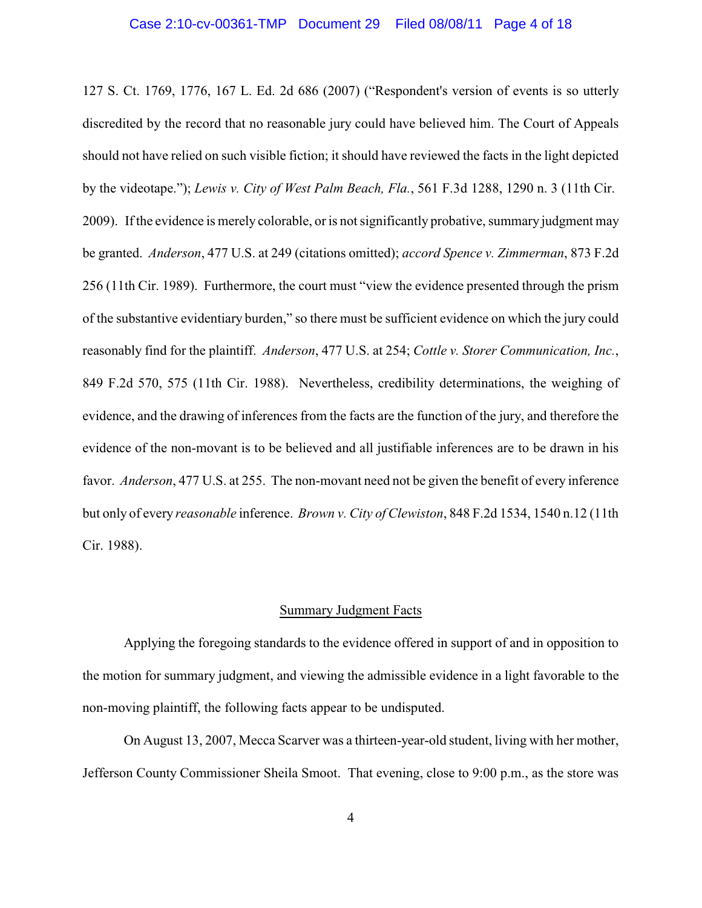127 S. Ct. 1769, 1776, 167 L. Ed. 2d 686 (2007) ("Respondent's version of events is so utterly discredited by the record that no reasonable jury could have believed him. The Court of Appeals should not have relied on such visible fiction; it should have reviewed the facts in the light depicted by the videotape."); *Lewis v. City of West Palm Beach, Fla.*, 561 F.3d 1288, 1290 n. 3 (11th Cir. 2009). If the evidence is merely colorable, or is not significantly probative, summary judgment may be granted. *Anderson*, 477 U.S. at 249 (citations omitted); *accord Spence v. Zimmerman*, 873 F.2d 256 (11th Cir. 1989). Furthermore, the court must "view the evidence presented through the prism of the substantive evidentiary burden," so there must be sufficient evidence on which the jury could reasonably find for the plaintiff. *Anderson*, 477 U.S. at 254; *Cottle v. Storer Communication, Inc.*, 849 F.2d 570, 575 (11th Cir. 1988). Nevertheless, credibility determinations, the weighing of evidence, and the drawing of inferences from the facts are the function of the jury, and therefore the evidence of the non-movant is to be believed and all justifiable inferences are to be drawn in his favor. *Anderson*, 477 U.S. at 255. The non-movant need not be given the benefit of every inference but only of every *reasonable* inference. *Brown v. City of Clewiston*, 848 F.2d 1534, 1540 n.12 (11th Cir. 1988).

## Summary Judgment Facts

Applying the foregoing standards to the evidence offered in support of and in opposition to the motion for summary judgment, and viewing the admissible evidence in a light favorable to the non-moving plaintiff, the following facts appear to be undisputed.

On August 13, 2007, Mecca Scarver was a thirteen-year-old student, living with her mother, Jefferson County Commissioner Sheila Smoot. That evening, close to 9:00 p.m., as the store was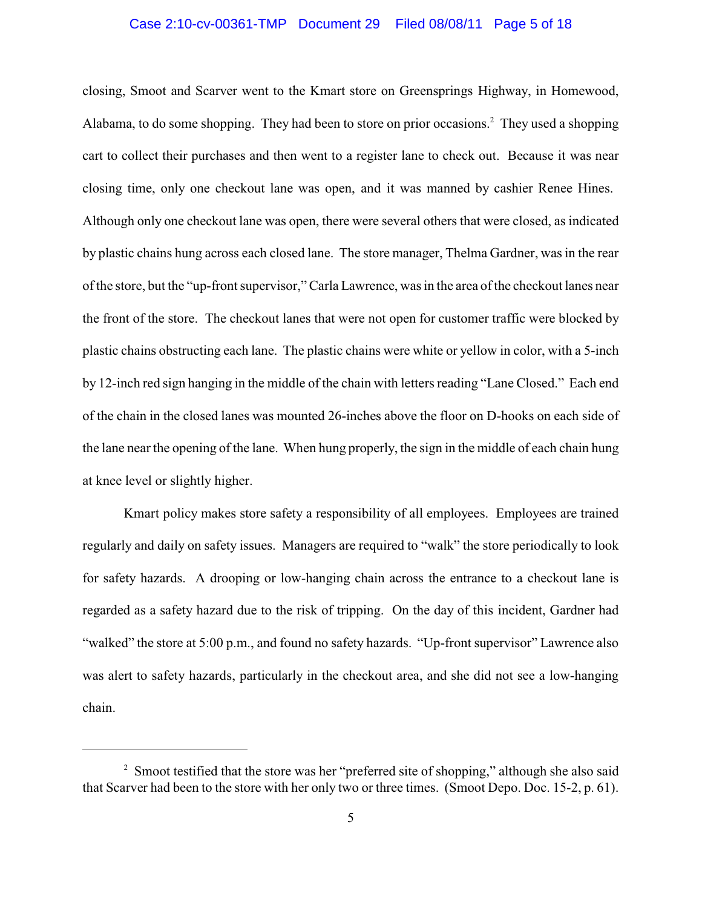# Case 2:10-cv-00361-TMP Document 29 Filed 08/08/11 Page 5 of 18

closing, Smoot and Scarver went to the Kmart store on Greensprings Highway, in Homewood, Alabama, to do some shopping. They had been to store on prior occasions.<sup>2</sup> They used a shopping cart to collect their purchases and then went to a register lane to check out. Because it was near closing time, only one checkout lane was open, and it was manned by cashier Renee Hines. Although only one checkout lane was open, there were several others that were closed, as indicated by plastic chains hung across each closed lane. The store manager, Thelma Gardner, was in the rear of the store, but the "up-front supervisor,"Carla Lawrence, was in the area of the checkout lanes near the front of the store. The checkout lanes that were not open for customer traffic were blocked by plastic chains obstructing each lane. The plastic chains were white or yellow in color, with a 5-inch by 12-inch red sign hanging in the middle of the chain with letters reading "Lane Closed." Each end of the chain in the closed lanes was mounted 26-inches above the floor on D-hooks on each side of the lane near the opening of the lane. When hung properly, the sign in the middle of each chain hung at knee level or slightly higher.

Kmart policy makes store safety a responsibility of all employees. Employees are trained regularly and daily on safety issues. Managers are required to "walk" the store periodically to look for safety hazards. A drooping or low-hanging chain across the entrance to a checkout lane is regarded as a safety hazard due to the risk of tripping. On the day of this incident, Gardner had "walked" the store at 5:00 p.m., and found no safety hazards. "Up-front supervisor" Lawrence also was alert to safety hazards, particularly in the checkout area, and she did not see a low-hanging chain.

 $\frac{1}{2}$  Smoot testified that the store was her "preferred site of shopping," although she also said that Scarver had been to the store with her only two or three times. (Smoot Depo. Doc. 15-2, p. 61).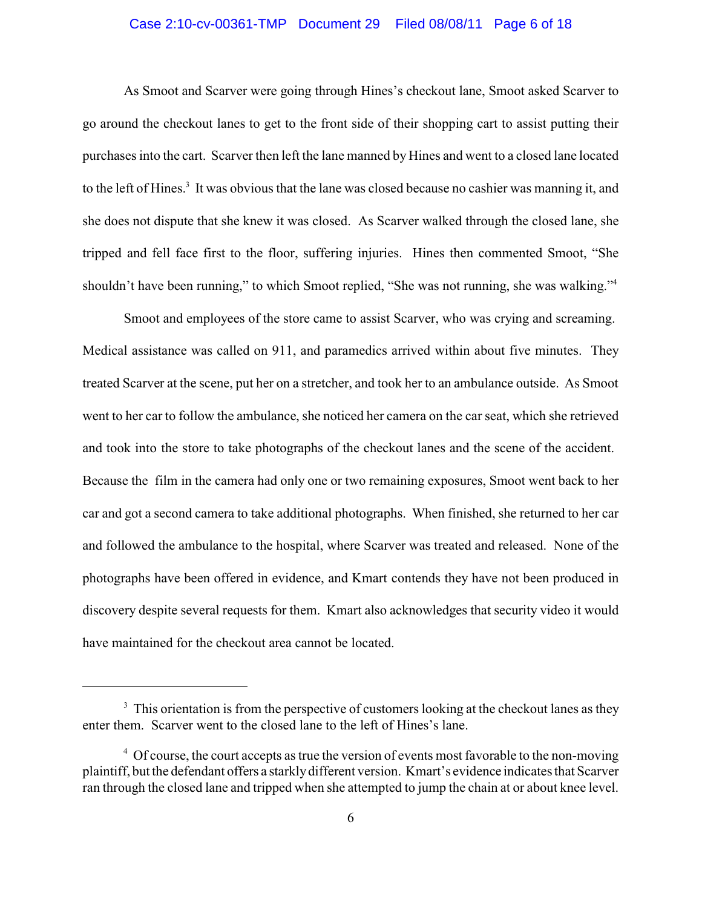# Case 2:10-cv-00361-TMP Document 29 Filed 08/08/11 Page 6 of 18

As Smoot and Scarver were going through Hines's checkout lane, Smoot asked Scarver to go around the checkout lanes to get to the front side of their shopping cart to assist putting their purchases into the cart. Scarver then left the lane manned by Hines and went to a closed lane located to the left of Hines.<sup>3</sup> It was obvious that the lane was closed because no cashier was manning it, and she does not dispute that she knew it was closed. As Scarver walked through the closed lane, she tripped and fell face first to the floor, suffering injuries. Hines then commented Smoot, "She shouldn't have been running," to which Smoot replied, "She was not running, she was walking."<sup>4</sup>

Smoot and employees of the store came to assist Scarver, who was crying and screaming. Medical assistance was called on 911, and paramedics arrived within about five minutes. They treated Scarver at the scene, put her on a stretcher, and took her to an ambulance outside. As Smoot went to her car to follow the ambulance, she noticed her camera on the car seat, which she retrieved and took into the store to take photographs of the checkout lanes and the scene of the accident. Because the film in the camera had only one or two remaining exposures, Smoot went back to her car and got a second camera to take additional photographs. When finished, she returned to her car and followed the ambulance to the hospital, where Scarver was treated and released. None of the photographs have been offered in evidence, and Kmart contends they have not been produced in discovery despite several requests for them. Kmart also acknowledges that security video it would have maintained for the checkout area cannot be located.

 $3\text{ This orientation is from the perspective of customers looking at the checkout lanes as they.}$ enter them. Scarver went to the closed lane to the left of Hines's lane.

<sup>&</sup>lt;sup>4</sup> Of course, the court accepts as true the version of events most favorable to the non-moving plaintiff, but the defendant offers a starklydifferent version. Kmart's evidence indicates that Scarver ran through the closed lane and tripped when she attempted to jump the chain at or about knee level.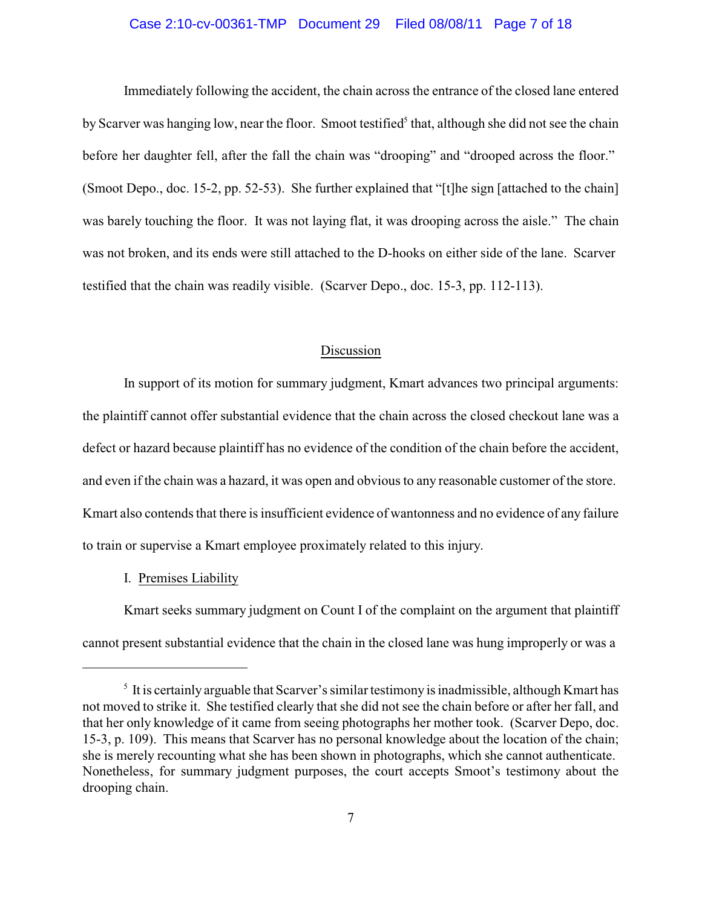# Case 2:10-cv-00361-TMP Document 29 Filed 08/08/11 Page 7 of 18

Immediately following the accident, the chain across the entrance of the closed lane entered by Scarver was hanging low, near the floor. Smoot testified<sup>5</sup> that, although she did not see the chain before her daughter fell, after the fall the chain was "drooping" and "drooped across the floor." (Smoot Depo., doc. 15-2, pp. 52-53). She further explained that "[t]he sign [attached to the chain] was barely touching the floor. It was not laying flat, it was drooping across the aisle." The chain was not broken, and its ends were still attached to the D-hooks on either side of the lane. Scarver testified that the chain was readily visible. (Scarver Depo., doc. 15-3, pp. 112-113).

## Discussion

In support of its motion for summary judgment, Kmart advances two principal arguments: the plaintiff cannot offer substantial evidence that the chain across the closed checkout lane was a defect or hazard because plaintiff has no evidence of the condition of the chain before the accident, and even if the chain was a hazard, it was open and obvious to any reasonable customer of the store. Kmart also contends that there is insufficient evidence of wantonness and no evidence of any failure to train or supervise a Kmart employee proximately related to this injury.

## I. Premises Liability

Kmart seeks summary judgment on Count I of the complaint on the argument that plaintiff cannot present substantial evidence that the chain in the closed lane was hung improperly or was a

 $\frac{1}{3}$  It is certainly arguable that Scarver's similar testimony is inadmissible, although Kmart has not moved to strike it. She testified clearly that she did not see the chain before or after her fall, and that her only knowledge of it came from seeing photographs her mother took. (Scarver Depo, doc. 15-3, p. 109). This means that Scarver has no personal knowledge about the location of the chain; she is merely recounting what she has been shown in photographs, which she cannot authenticate. Nonetheless, for summary judgment purposes, the court accepts Smoot's testimony about the drooping chain.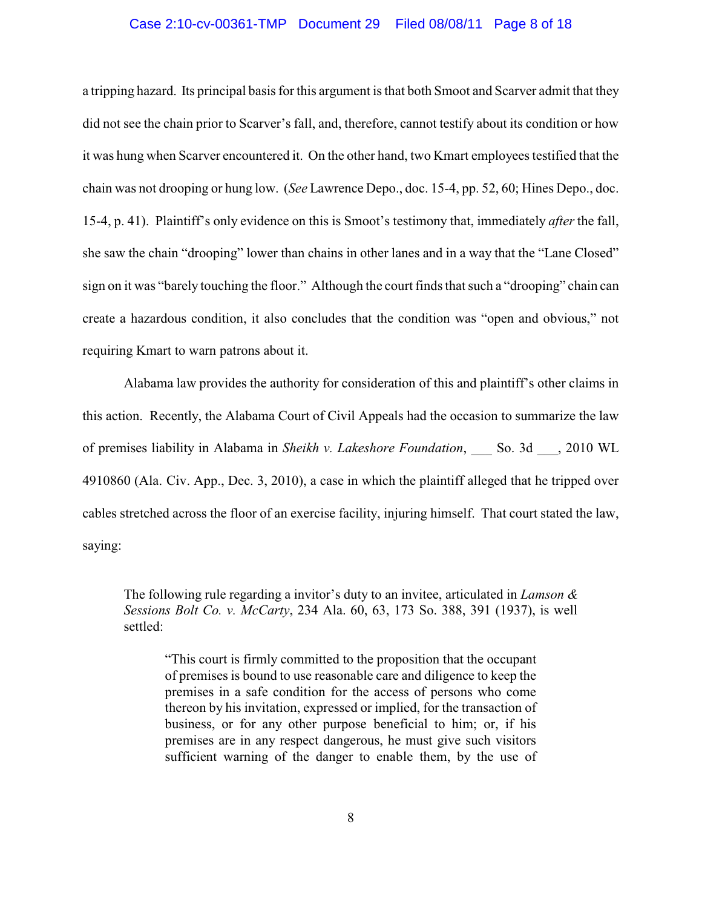#### Case 2:10-cv-00361-TMP Document 29 Filed 08/08/11 Page 8 of 18

a tripping hazard. Its principal basis for this argument is that both Smoot and Scarver admit that they did not see the chain prior to Scarver's fall, and, therefore, cannot testify about its condition or how it was hung when Scarver encountered it. On the other hand, two Kmart employees testified that the chain was not drooping or hung low. (*See* Lawrence Depo., doc. 15-4, pp. 52, 60; Hines Depo., doc. 15-4, p. 41). Plaintiff's only evidence on this is Smoot's testimony that, immediately *after* the fall, she saw the chain "drooping" lower than chains in other lanes and in a way that the "Lane Closed" sign on it was "barely touching the floor." Although the court finds that such a "drooping" chain can create a hazardous condition, it also concludes that the condition was "open and obvious," not requiring Kmart to warn patrons about it.

Alabama law provides the authority for consideration of this and plaintiff's other claims in this action. Recently, the Alabama Court of Civil Appeals had the occasion to summarize the law of premises liability in Alabama in *Sheikh v. Lakeshore Foundation*, \_\_\_ So. 3d \_\_\_, 2010 WL 4910860 (Ala. Civ. App., Dec. 3, 2010), a case in which the plaintiff alleged that he tripped over cables stretched across the floor of an exercise facility, injuring himself. That court stated the law, saying:

The following rule regarding a invitor's duty to an invitee, articulated in *Lamson & Sessions Bolt Co. v. McCarty*, 234 Ala. 60, 63, 173 So. 388, 391 (1937), is well settled:

"This court is firmly committed to the proposition that the occupant of premises is bound to use reasonable care and diligence to keep the premises in a safe condition for the access of persons who come thereon by his invitation, expressed or implied, for the transaction of business, or for any other purpose beneficial to him; or, if his premises are in any respect dangerous, he must give such visitors sufficient warning of the danger to enable them, by the use of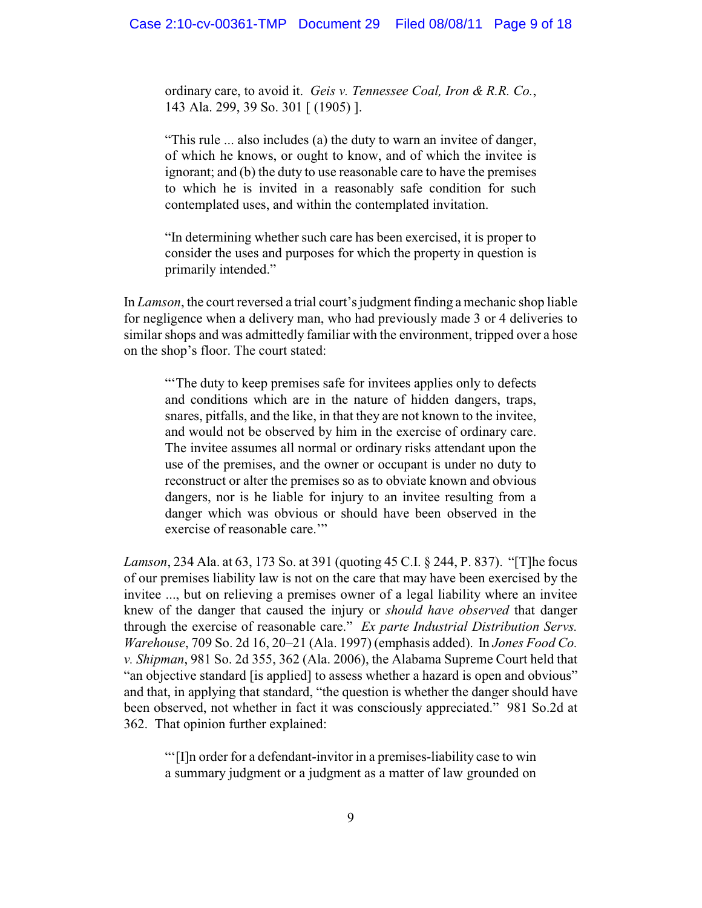ordinary care, to avoid it. *Geis v. Tennessee Coal, Iron & R.R. Co.*, 143 Ala. 299, 39 So. 301 [ (1905) ].

"This rule ... also includes (a) the duty to warn an invitee of danger, of which he knows, or ought to know, and of which the invitee is ignorant; and (b) the duty to use reasonable care to have the premises to which he is invited in a reasonably safe condition for such contemplated uses, and within the contemplated invitation.

"In determining whether such care has been exercised, it is proper to consider the uses and purposes for which the property in question is primarily intended."

In *Lamson*, the court reversed a trial court's judgment finding a mechanic shop liable for negligence when a delivery man, who had previously made 3 or 4 deliveries to similar shops and was admittedly familiar with the environment, tripped over a hose on the shop's floor. The court stated:

"The duty to keep premises safe for invitees applies only to defects" and conditions which are in the nature of hidden dangers, traps, snares, pitfalls, and the like, in that they are not known to the invitee, and would not be observed by him in the exercise of ordinary care. The invitee assumes all normal or ordinary risks attendant upon the use of the premises, and the owner or occupant is under no duty to reconstruct or alter the premises so as to obviate known and obvious dangers, nor is he liable for injury to an invitee resulting from a danger which was obvious or should have been observed in the exercise of reasonable care.'"

*Lamson*, 234 Ala. at 63, 173 So. at 391 (quoting 45 C.I. § 244, P. 837). "[T]he focus of our premises liability law is not on the care that may have been exercised by the invitee ..., but on relieving a premises owner of a legal liability where an invitee knew of the danger that caused the injury or *should have observed* that danger through the exercise of reasonable care." *Ex parte Industrial Distribution Servs. Warehouse*, 709 So. 2d 16, 20–21 (Ala. 1997) (emphasis added). In *Jones Food Co. v. Shipman*, 981 So. 2d 355, 362 (Ala. 2006), the Alabama Supreme Court held that "an objective standard [is applied] to assess whether a hazard is open and obvious" and that, in applying that standard, "the question is whether the danger should have been observed, not whether in fact it was consciously appreciated." 981 So.2d at 362. That opinion further explained:

"'[I]n order for a defendant-invitor in a premises-liability case to win a summary judgment or a judgment as a matter of law grounded on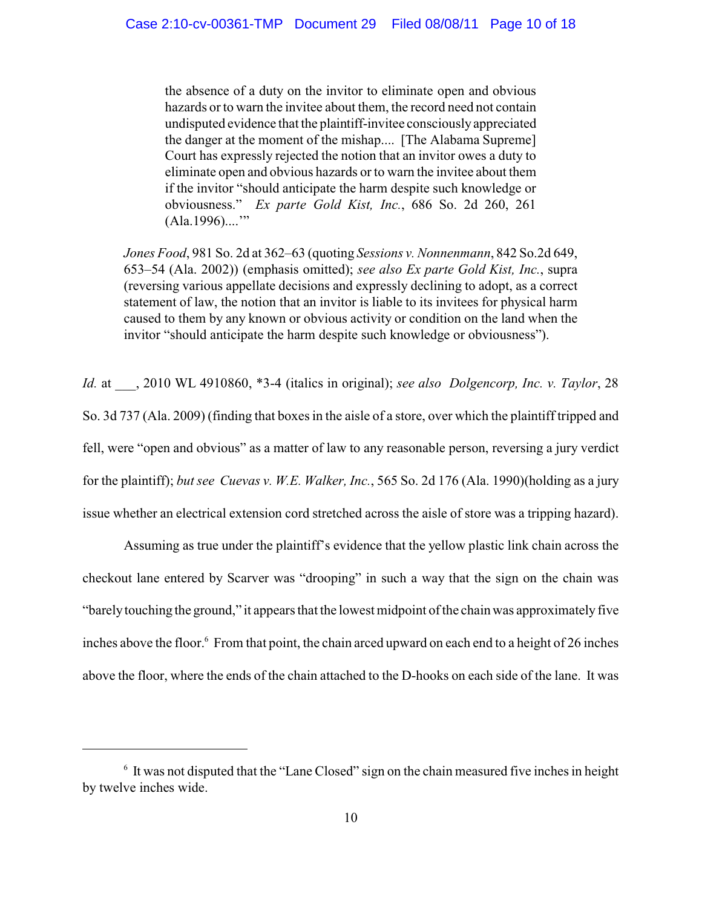the absence of a duty on the invitor to eliminate open and obvious hazards or to warn the invitee about them, the record need not contain undisputed evidence that the plaintiff-invitee consciouslyappreciated the danger at the moment of the mishap.... [The Alabama Supreme] Court has expressly rejected the notion that an invitor owes a duty to eliminate open and obvious hazards or to warn the invitee about them if the invitor "should anticipate the harm despite such knowledge or obviousness." *Ex parte Gold Kist, Inc.*, 686 So. 2d 260, 261  $(Ala.1996)...$ "

*Jones Food*, 981 So. 2d at 362–63 (quoting *Sessions v. Nonnenmann*, 842 So.2d 649, 653–54 (Ala. 2002)) (emphasis omitted); *see also Ex parte Gold Kist, Inc.*, supra (reversing various appellate decisions and expressly declining to adopt, as a correct statement of law, the notion that an invitor is liable to its invitees for physical harm caused to them by any known or obvious activity or condition on the land when the invitor "should anticipate the harm despite such knowledge or obviousness").

*Id.* at \_\_\_, 2010 WL 4910860, \*3-4 (italics in original); *see also Dolgencorp, Inc. v. Taylor*, 28 So. 3d 737 (Ala. 2009) (finding that boxes in the aisle of a store, over which the plaintiff tripped and fell, were "open and obvious" as a matter of law to any reasonable person, reversing a jury verdict for the plaintiff); *but see Cuevas v. W.E. Walker, Inc.*, 565 So. 2d 176 (Ala. 1990)(holding as a jury issue whether an electrical extension cord stretched across the aisle of store was a tripping hazard).

Assuming as true under the plaintiff's evidence that the yellow plastic link chain across the checkout lane entered by Scarver was "drooping" in such a way that the sign on the chain was "barelytouching the ground," it appears that the lowest midpoint of the chain was approximately five inches above the floor.<sup>6</sup> From that point, the chain arced upward on each end to a height of 26 inches above the floor, where the ends of the chain attached to the D-hooks on each side of the lane. It was

 $\delta$  It was not disputed that the "Lane Closed" sign on the chain measured five inches in height by twelve inches wide.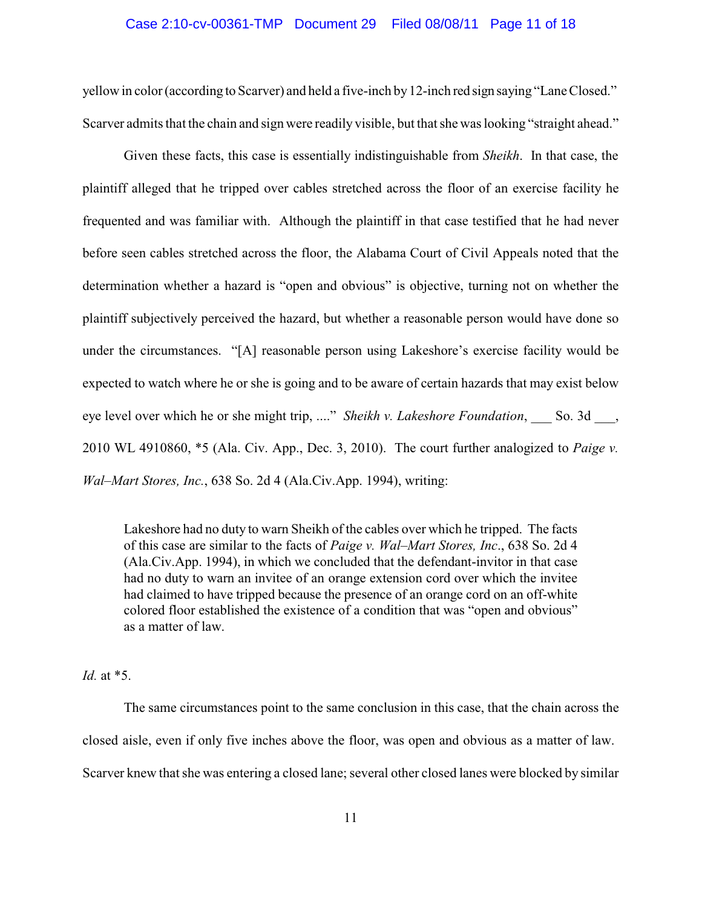## Case 2:10-cv-00361-TMP Document 29 Filed 08/08/11 Page 11 of 18

yellow in color (according to Scarver) and held a five-inch by12-inch red sign saying "Lane Closed." Scarver admits that the chain and sign were readily visible, but that she was looking "straight ahead."

Given these facts, this case is essentially indistinguishable from *Sheikh*. In that case, the plaintiff alleged that he tripped over cables stretched across the floor of an exercise facility he frequented and was familiar with. Although the plaintiff in that case testified that he had never before seen cables stretched across the floor, the Alabama Court of Civil Appeals noted that the determination whether a hazard is "open and obvious" is objective, turning not on whether the plaintiff subjectively perceived the hazard, but whether a reasonable person would have done so under the circumstances. "[A] reasonable person using Lakeshore's exercise facility would be expected to watch where he or she is going and to be aware of certain hazards that may exist below eye level over which he or she might trip, ...." *Sheikh v. Lakeshore Foundation*, So. 3d, 2010 WL 4910860, \*5 (Ala. Civ. App., Dec. 3, 2010). The court further analogized to *Paige v. Wal–Mart Stores, Inc.*, 638 So. 2d 4 (Ala.Civ.App. 1994), writing:

Lakeshore had no duty to warn Sheikh of the cables over which he tripped. The facts of this case are similar to the facts of *Paige v. Wal–Mart Stores, Inc*., 638 So. 2d 4 (Ala.Civ.App. 1994), in which we concluded that the defendant-invitor in that case had no duty to warn an invitee of an orange extension cord over which the invitee had claimed to have tripped because the presence of an orange cord on an off-white colored floor established the existence of a condition that was "open and obvious" as a matter of law.

*Id.* at \*5.

The same circumstances point to the same conclusion in this case, that the chain across the closed aisle, even if only five inches above the floor, was open and obvious as a matter of law. Scarver knew that she was entering a closed lane; several other closed lanes were blocked by similar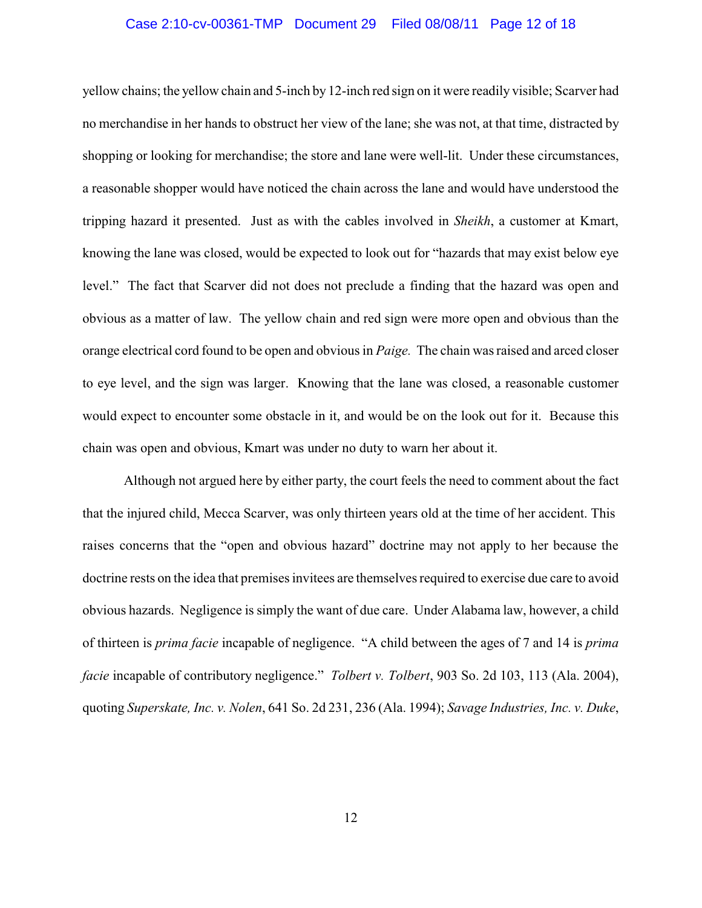## Case 2:10-cv-00361-TMP Document 29 Filed 08/08/11 Page 12 of 18

yellow chains; the yellow chain and 5-inch by 12-inch red sign on it were readily visible; Scarver had no merchandise in her hands to obstruct her view of the lane; she was not, at that time, distracted by shopping or looking for merchandise; the store and lane were well-lit. Under these circumstances, a reasonable shopper would have noticed the chain across the lane and would have understood the tripping hazard it presented. Just as with the cables involved in *Sheikh*, a customer at Kmart, knowing the lane was closed, would be expected to look out for "hazards that may exist below eye level." The fact that Scarver did not does not preclude a finding that the hazard was open and obvious as a matter of law. The yellow chain and red sign were more open and obvious than the orange electrical cord found to be open and obvious in *Paige.* The chain was raised and arced closer to eye level, and the sign was larger. Knowing that the lane was closed, a reasonable customer would expect to encounter some obstacle in it, and would be on the look out for it. Because this chain was open and obvious, Kmart was under no duty to warn her about it.

Although not argued here by either party, the court feels the need to comment about the fact that the injured child, Mecca Scarver, was only thirteen years old at the time of her accident. This raises concerns that the "open and obvious hazard" doctrine may not apply to her because the doctrine rests on the idea that premises invitees are themselves required to exercise due care to avoid obvious hazards. Negligence is simply the want of due care. Under Alabama law, however, a child of thirteen is *prima facie* incapable of negligence. "A child between the ages of 7 and 14 is *prima facie* incapable of contributory negligence." *Tolbert v. Tolbert*, 903 So. 2d 103, 113 (Ala. 2004), quoting *Superskate, Inc. v. Nolen*, 641 So. 2d 231, 236 (Ala. 1994); *Savage Industries, Inc. v. Duke*,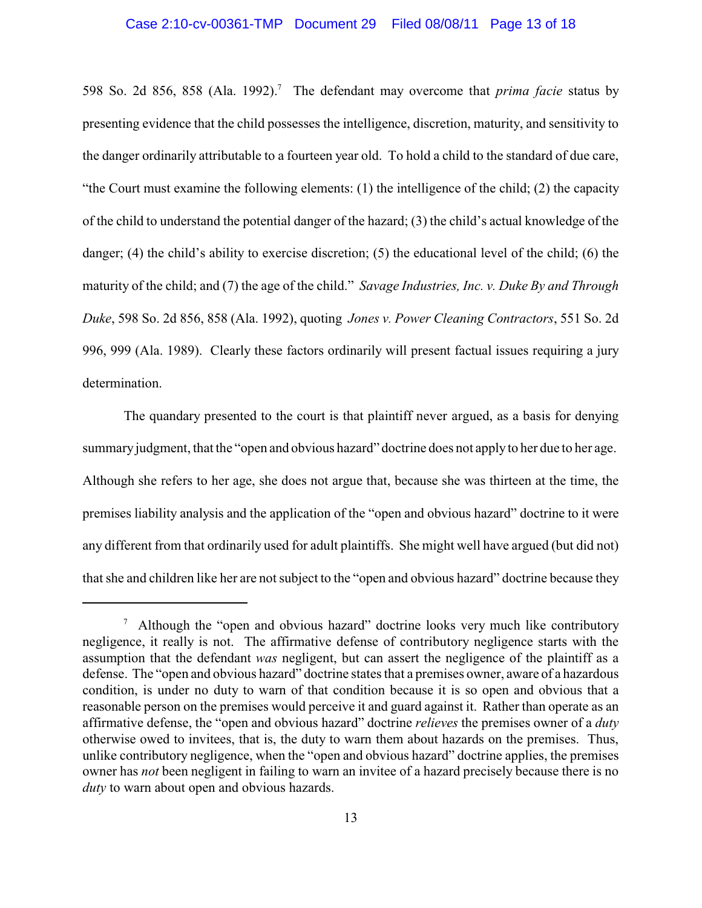598 So. 2d 856, 858 (Ala. 1992).<sup>7</sup> The defendant may overcome that *prima facie* status by presenting evidence that the child possesses the intelligence, discretion, maturity, and sensitivity to the danger ordinarily attributable to a fourteen year old. To hold a child to the standard of due care, "the Court must examine the following elements: (1) the intelligence of the child; (2) the capacity of the child to understand the potential danger of the hazard; (3) the child's actual knowledge of the danger; (4) the child's ability to exercise discretion; (5) the educational level of the child; (6) the maturity of the child; and (7) the age of the child." *Savage Industries, Inc. v. Duke By and Through Duke*, 598 So. 2d 856, 858 (Ala. 1992), quoting *Jones v. Power Cleaning Contractors*, 551 So. 2d 996, 999 (Ala. 1989). Clearly these factors ordinarily will present factual issues requiring a jury determination.

The quandary presented to the court is that plaintiff never argued, as a basis for denying summary judgment, that the "open and obvious hazard" doctrine does not applyto her due to her age. Although she refers to her age, she does not argue that, because she was thirteen at the time, the premises liability analysis and the application of the "open and obvious hazard" doctrine to it were any different from that ordinarily used for adult plaintiffs. She might well have argued (but did not) that she and children like her are not subject to the "open and obvious hazard" doctrine because they

<sup>&</sup>lt;sup>7</sup> Although the "open and obvious hazard" doctrine looks very much like contributory negligence, it really is not. The affirmative defense of contributory negligence starts with the assumption that the defendant *was* negligent, but can assert the negligence of the plaintiff as a defense. The "open and obvious hazard" doctrine states that a premises owner, aware of a hazardous condition, is under no duty to warn of that condition because it is so open and obvious that a reasonable person on the premises would perceive it and guard against it. Rather than operate as an affirmative defense, the "open and obvious hazard" doctrine *relieves* the premises owner of a *duty* otherwise owed to invitees, that is, the duty to warn them about hazards on the premises. Thus, unlike contributory negligence, when the "open and obvious hazard" doctrine applies, the premises owner has *not* been negligent in failing to warn an invitee of a hazard precisely because there is no *duty* to warn about open and obvious hazards.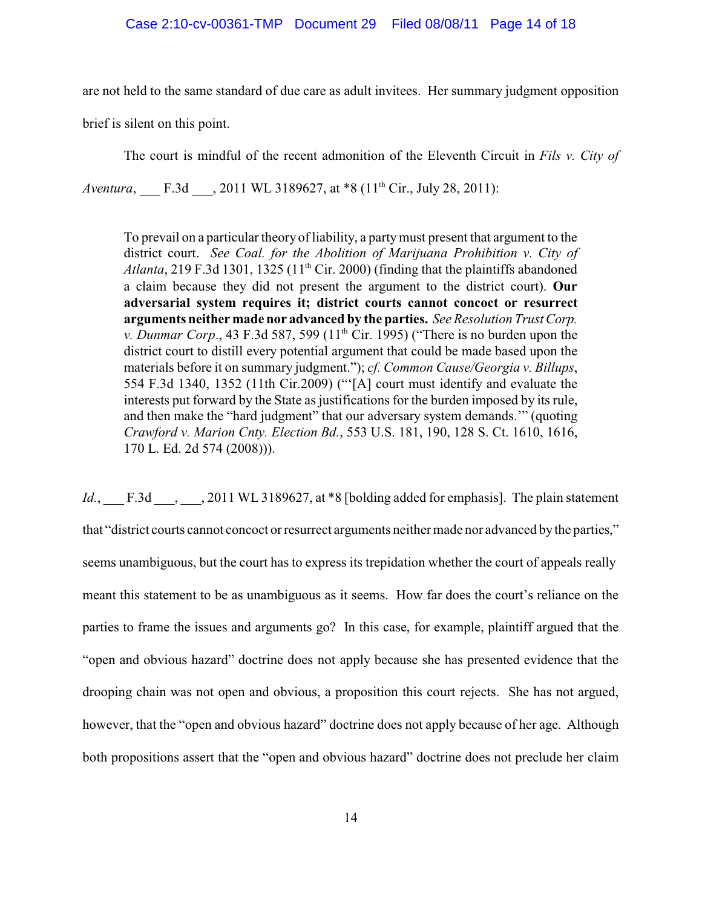are not held to the same standard of due care as adult invitees. Her summary judgment opposition

brief is silent on this point.

The court is mindful of the recent admonition of the Eleventh Circuit in *Fils v. City of*

*Aventura*, F.3d , 2011 WL 3189627, at \*8 (11<sup>th</sup> Cir., July 28, 2011):

To prevail on a particular theory of liability, a partymust present that argument to the district court. *See Coal. for the Abolition of Marijuana Prohibition v. City of* Atlanta, 219 F.3d 1301, 1325  $(11<sup>th</sup> Cir. 2000)$  (finding that the plaintiffs abandoned a claim because they did not present the argument to the district court). **Our adversarial system requires it; district courts cannot concoct or resurrect arguments neither made nor advanced by the parties.** *See Resolution Trust Corp. v. Dunmar Corp.*, 43 F.3d 587, 599 ( $11<sup>th</sup>$  Cir. 1995) ("There is no burden upon the district court to distill every potential argument that could be made based upon the materials before it on summary judgment."); *cf. Common Cause/Georgia v. Billups*, 554 F.3d 1340, 1352 (11th Cir.2009) ("'[A] court must identify and evaluate the interests put forward by the State as justifications for the burden imposed by its rule, and then make the "hard judgment" that our adversary system demands.'" (quoting *Crawford v. Marion Cnty. Election Bd.*, 553 U.S. 181, 190, 128 S. Ct. 1610, 1616, 170 L. Ed. 2d 574 (2008))).

*Id.*, F.3d , 2011 WL 3189627, at \*8 [bolding added for emphasis]. The plain statement that "district courts cannot concoct or resurrect arguments neither made nor advanced bythe parties," seems unambiguous, but the court has to express its trepidation whether the court of appeals really meant this statement to be as unambiguous as it seems. How far does the court's reliance on the parties to frame the issues and arguments go? In this case, for example, plaintiff argued that the "open and obvious hazard" doctrine does not apply because she has presented evidence that the drooping chain was not open and obvious, a proposition this court rejects. She has not argued, however, that the "open and obvious hazard" doctrine does not apply because of her age. Although both propositions assert that the "open and obvious hazard" doctrine does not preclude her claim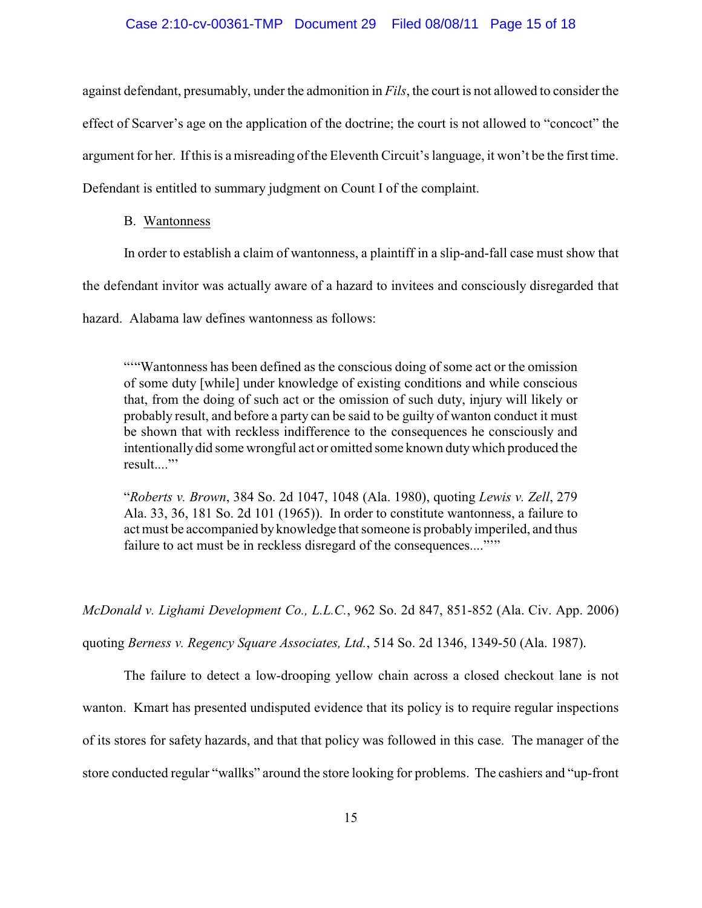## Case 2:10-cv-00361-TMP Document 29 Filed 08/08/11 Page 15 of 18

against defendant, presumably, under the admonition in *Fils*, the court is not allowed to consider the effect of Scarver's age on the application of the doctrine; the court is not allowed to "concoct" the argument for her. If this is a misreading of the Eleventh Circuit's language, it won't be the first time. Defendant is entitled to summary judgment on Count I of the complaint.

#### B. Wantonness

In order to establish a claim of wantonness, a plaintiff in a slip-and-fall case must show that

the defendant invitor was actually aware of a hazard to invitees and consciously disregarded that

hazard. Alabama law defines wantonness as follows:

""Wantonness has been defined as the conscious doing of some act or the omission of some duty [while] under knowledge of existing conditions and while conscious that, from the doing of such act or the omission of such duty, injury will likely or probably result, and before a party can be said to be guilty of wanton conduct it must be shown that with reckless indifference to the consequences he consciously and intentionally did some wrongful act or omitted some known dutywhich produced the result...."

"*Roberts v. Brown*, 384 So. 2d 1047, 1048 (Ala. 1980), quoting *Lewis v. Zell*, 279 Ala. 33, 36, 181 So. 2d 101 (1965)). In order to constitute wantonness, a failure to act must be accompanied by knowledge that someone is probablyimperiled, and thus failure to act must be in reckless disregard of the consequences....""

*McDonald v. Lighami Development Co., L.L.C.*, 962 So. 2d 847, 851-852 (Ala. Civ. App. 2006) quoting *Berness v. Regency Square Associates, Ltd.*, 514 So. 2d 1346, 1349-50 (Ala. 1987).

The failure to detect a low-drooping yellow chain across a closed checkout lane is not wanton. Kmart has presented undisputed evidence that its policy is to require regular inspections of its stores for safety hazards, and that that policy was followed in this case. The manager of the store conducted regular "wallks" around the store looking for problems. The cashiers and "up-front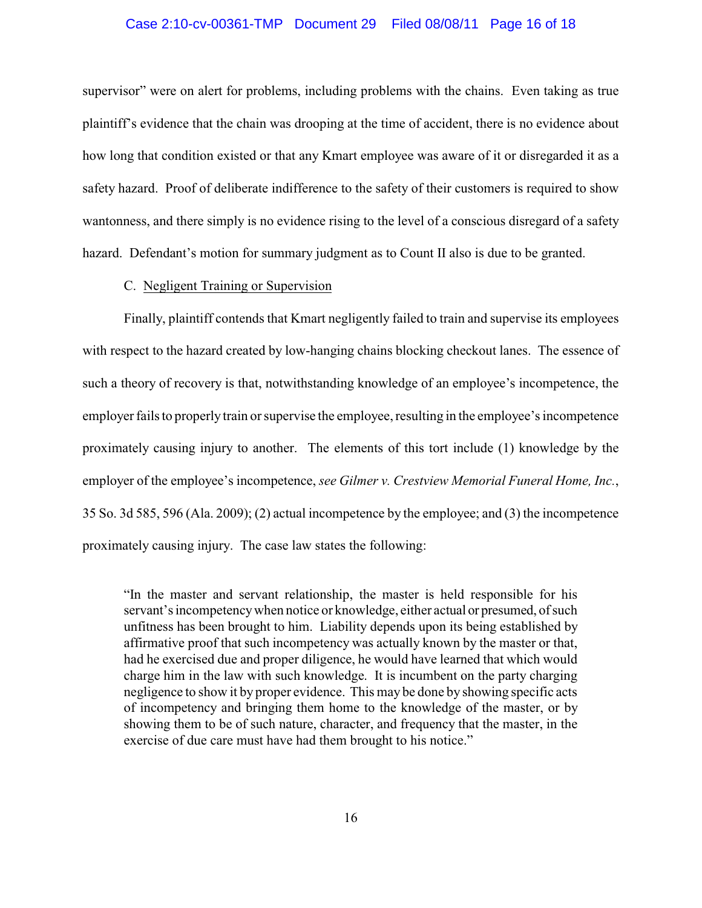## Case 2:10-cv-00361-TMP Document 29 Filed 08/08/11 Page 16 of 18

supervisor" were on alert for problems, including problems with the chains. Even taking as true plaintiff's evidence that the chain was drooping at the time of accident, there is no evidence about how long that condition existed or that any Kmart employee was aware of it or disregarded it as a safety hazard. Proof of deliberate indifference to the safety of their customers is required to show wantonness, and there simply is no evidence rising to the level of a conscious disregard of a safety hazard. Defendant's motion for summary judgment as to Count II also is due to be granted.

# C. Negligent Training or Supervision

Finally, plaintiff contends that Kmart negligently failed to train and supervise its employees with respect to the hazard created by low-hanging chains blocking checkout lanes. The essence of such a theory of recovery is that, notwithstanding knowledge of an employee's incompetence, the employer fails to properly train or supervise the employee, resulting in the employee's incompetence proximately causing injury to another. The elements of this tort include (1) knowledge by the employer of the employee's incompetence, *see Gilmer v. Crestview Memorial Funeral Home, Inc.*, 35 So. 3d 585, 596 (Ala. 2009); (2) actual incompetence by the employee; and (3) the incompetence proximately causing injury. The case law states the following:

"In the master and servant relationship, the master is held responsible for his servant's incompetencywhen notice or knowledge, either actual or presumed, of such unfitness has been brought to him. Liability depends upon its being established by affirmative proof that such incompetency was actually known by the master or that, had he exercised due and proper diligence, he would have learned that which would charge him in the law with such knowledge. It is incumbent on the party charging negligence to show it by proper evidence. This may be done by showing specific acts of incompetency and bringing them home to the knowledge of the master, or by showing them to be of such nature, character, and frequency that the master, in the exercise of due care must have had them brought to his notice."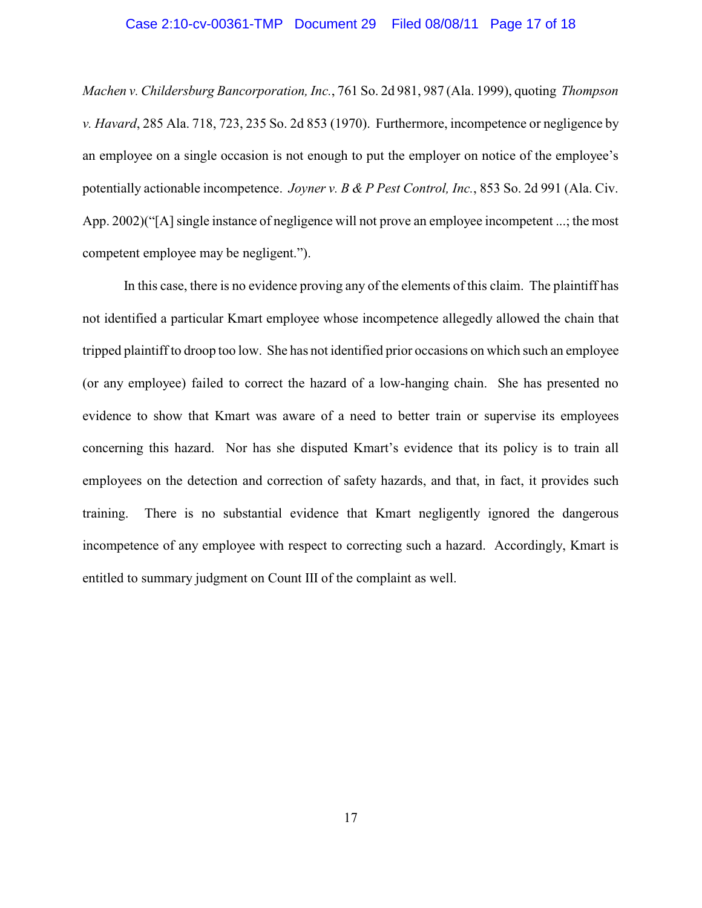## Case 2:10-cv-00361-TMP Document 29 Filed 08/08/11 Page 17 of 18

*Machen v. Childersburg Bancorporation, Inc.*, 761 So. 2d 981, 987 (Ala. 1999), quoting *Thompson v. Havard*, 285 Ala. 718, 723, 235 So. 2d 853 (1970). Furthermore, incompetence or negligence by an employee on a single occasion is not enough to put the employer on notice of the employee's potentially actionable incompetence. *Joyner v. B & P Pest Control, Inc.*, 853 So. 2d 991 (Ala. Civ. App. 2002)("[A] single instance of negligence will not prove an employee incompetent ...; the most competent employee may be negligent.").

In this case, there is no evidence proving any of the elements of this claim. The plaintiff has not identified a particular Kmart employee whose incompetence allegedly allowed the chain that tripped plaintiff to droop too low. She has not identified prior occasions on which such an employee (or any employee) failed to correct the hazard of a low-hanging chain. She has presented no evidence to show that Kmart was aware of a need to better train or supervise its employees concerning this hazard. Nor has she disputed Kmart's evidence that its policy is to train all employees on the detection and correction of safety hazards, and that, in fact, it provides such training. There is no substantial evidence that Kmart negligently ignored the dangerous incompetence of any employee with respect to correcting such a hazard. Accordingly, Kmart is entitled to summary judgment on Count III of the complaint as well.